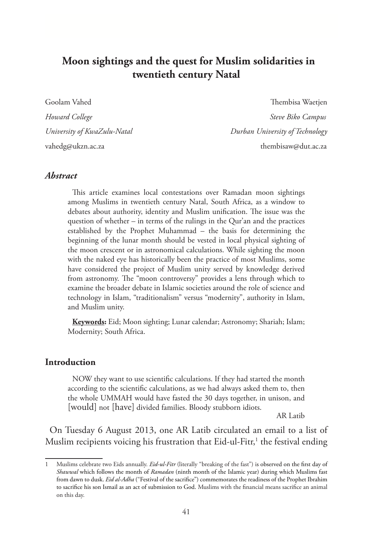# **Moon sightings and the quest for Muslim solidarities in twentieth century Natal**

Goolam Vahed Thembisa Waetjen *Howard College* Steve Biko Campus **Steve Biko Campus** *University of KwaZulu-Natal Durban University of Technology* vahedg@ukzn.ac.za thembisaw@dut.ac.za

### *Abstract*

This article examines local contestations over Ramadan moon sightings among Muslims in twentieth century Natal, South Africa, as a window to debates about authority, identity and Muslim unification. The issue was the question of whether – in terms of the rulings in the Qur'an and the practices established by the Prophet Muhammad – the basis for determining the beginning of the lunar month should be vested in local physical sighting of the moon crescent or in astronomical calculations. While sighting the moon with the naked eye has historically been the practice of most Muslims, some have considered the project of Muslim unity served by knowledge derived from astronomy. The "moon controversy" provides a lens through which to examine the broader debate in Islamic societies around the role of science and technology in Islam, "traditionalism" versus "modernity", authority in Islam, and Muslim unity.

**Keywords:** Eid; Moon sighting; Lunar calendar; Astronomy; Shariah; Islam; Modernity; South Africa.

#### **Introduction**

NOW they want to use scientific calculations. If they had started the month according to the scientific calculations, as we had always asked them to, then the whole UMMAH would have fasted the 30 days together, in unison, and [would] not [have] divided families. Bloody stubborn idiots.

AR Latib

On Tuesday 6 August 2013, one AR Latib circulated an email to a list of Muslim recipients voicing his frustration that Eid-ul-Fitr, $^1$  the festival ending

<sup>1</sup> Muslims celebrate two Eids annually. *Eid-ul-Fitr* (literally "breaking of the fast") is observed on the first day of *Shawwal* which follows the month of *Ramadan* (ninth month of the Islamic year) during which Muslims fast from dawn to dusk. *Eid al-Adha* ("Festival of the sacrifice") commemorates the readiness of the Prophet Ibrahim to sacrifice his son Ismail as an act of submission to God. Muslims with the financial means sacrifice an animal on this day.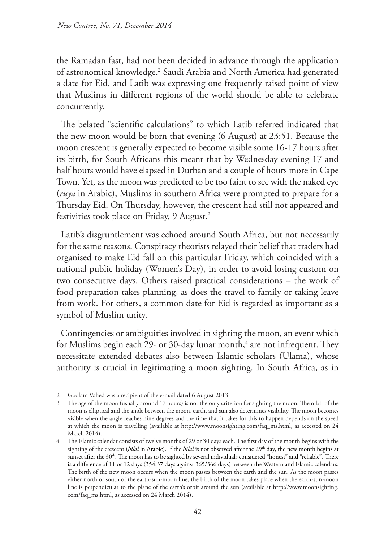the Ramadan fast, had not been decided in advance through the application of astronomical knowledge.2 Saudi Arabia and North America had generated a date for Eid, and Latib was expressing one frequently raised point of view that Muslims in different regions of the world should be able to celebrate concurrently.

The belated "scientific calculations" to which Latib referred indicated that the new moon would be born that evening (6 August) at 23:51. Because the moon crescent is generally expected to become visible some 16-17 hours after its birth, for South Africans this meant that by Wednesday evening 17 and half hours would have elapsed in Durban and a couple of hours more in Cape Town. Yet, as the moon was predicted to be too faint to see with the naked eye (*ruya* in Arabic), Muslims in southern Africa were prompted to prepare for a Thursday Eid. On Thursday, however, the crescent had still not appeared and festivities took place on Friday, 9 August.3

Latib's disgruntlement was echoed around South Africa, but not necessarily for the same reasons. Conspiracy theorists relayed their belief that traders had organised to make Eid fall on this particular Friday, which coincided with a national public holiday (Women's Day), in order to avoid losing custom on two consecutive days. Others raised practical considerations – the work of food preparation takes planning, as does the travel to family or taking leave from work. For others, a common date for Eid is regarded as important as a symbol of Muslim unity.

Contingencies or ambiguities involved in sighting the moon, an event which for Muslims begin each 29- or 30-day lunar month, $\rm ^4$  are not infrequent. They necessitate extended debates also between Islamic scholars (Ulama), whose authority is crucial in legitimating a moon sighting. In South Africa, as in

<sup>2</sup> Goolam Vahed was a recipient of the e-mail dated 6 August 2013.

<sup>3</sup> The age of the moon (usually around 17 hours) is not the only criterion for sighting the moon. The orbit of the moon is elliptical and the angle between the moon, earth, and sun also determines visibility. The moon becomes visible when the angle reaches nine degrees and the time that it takes for this to happen depends on the speed at which the moon is travelling (available at http://www.moonsighting.com/faq\_ms.html, as accessed on 24 March 2014).

<sup>4</sup> The Islamic calendar consists of twelve months of 29 or 30 days each. The first day of the month begins with the sighting of the crescent (*hilal* in Arabic). If the *hilal* is not observed after the 29<sup>th</sup> day, the new month begins at sunset after the 30<sup>th</sup>. The moon has to be sighted by several individuals considered "honest" and "reliable". There is a difference of 11 or 12 days (354.37 days against 365/366 days) between the Western and Islamic calendars. The birth of the new moon occurs when the moon passes between the earth and the sun. As the moon passes either north or south of the earth-sun-moon line, the birth of the moon takes place when the earth-sun-moon line is perpendicular to the plane of the earth's orbit around the sun (available at http://www.moonsighting. com/faq\_ms.html, as accessed on 24 March 2014).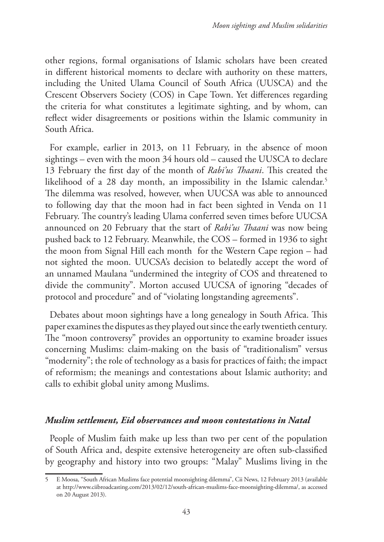other regions, formal organisations of Islamic scholars have been created in different historical moments to declare with authority on these matters, including the United Ulama Council of South Africa (UUSCA) and the Crescent Observers Society (COS) in Cape Town. Yet differences regarding the criteria for what constitutes a legitimate sighting, and by whom, can reflect wider disagreements or positions within the Islamic community in South Africa.

For example, earlier in 2013, on 11 February, in the absence of moon sightings – even with the moon 34 hours old – caused the UUSCA to declare 13 February the first day of the month of *Rabi'us Thaani*. This created the likelihood of a 28 day month, an impossibility in the Islamic calendar.<sup>5</sup> The dilemma was resolved, however, when UUCSA was able to announced to following day that the moon had in fact been sighted in Venda on 11 February. The country's leading Ulama conferred seven times before UUCSA announced on 20 February that the start of *Rabi'us Thaani* was now being pushed back to 12 February. Meanwhile, the COS – formed in 1936 to sight the moon from Signal Hill each month for the Western Cape region – had not sighted the moon. UUCSA's decision to belatedly accept the word of an unnamed Maulana "undermined the integrity of COS and threatened to divide the community". Morton accused UUCSA of ignoring "decades of protocol and procedure" and of "violating longstanding agreements".

Debates about moon sightings have a long genealogy in South Africa. This paper examines the disputes as they played out since the early twentieth century. The "moon controversy" provides an opportunity to examine broader issues concerning Muslims: claim-making on the basis of "traditionalism" versus "modernity"; the role of technology as a basis for practices of faith; the impact of reformism; the meanings and contestations about Islamic authority; and calls to exhibit global unity among Muslims.

### *Muslim settlement, Eid observances and moon contestations in Natal*

People of Muslim faith make up less than two per cent of the population of South Africa and, despite extensive heterogeneity are often sub-classified by geography and history into two groups: "Malay" Muslims living in the

<sup>5</sup> E Moosa, "South African Muslims face potential moonsighting dilemma", Cii News, 12 February 2013 (available at http://www.ciibroadcasting.com/2013/02/12/south-african-muslims-face-moonsighting-dilemma/, as accessed on 20 August 2013).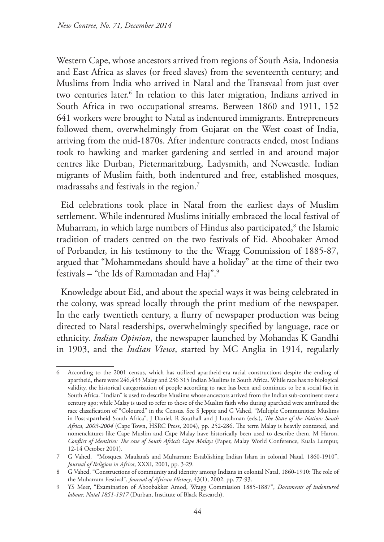Western Cape, whose ancestors arrived from regions of South Asia, Indonesia and East Africa as slaves (or freed slaves) from the seventeenth century; and Muslims from India who arrived in Natal and the Transvaal from just over two centuries later.<sup>6</sup> In relation to this later migration, Indians arrived in South Africa in two occupational streams. Between 1860 and 1911, 152 641 workers were brought to Natal as indentured immigrants. Entrepreneurs followed them, overwhelmingly from Gujarat on the West coast of India, arriving from the mid-1870s. After indenture contracts ended, most Indians took to hawking and market gardening and settled in and around major centres like Durban, Pietermaritzburg, Ladysmith, and Newcastle. Indian migrants of Muslim faith, both indentured and free, established mosques, madrassahs and festivals in the region.<sup>7</sup>

Eid celebrations took place in Natal from the earliest days of Muslim settlement. While indentured Muslims initially embraced the local festival of Muharram, in which large numbers of Hindus also participated,<sup>8</sup> the Islamic tradition of traders centred on the two festivals of Eid. Aboobaker Amod of Porbander, in his testimony to the the Wragg Commission of 1885-87, argued that "Mohammedans should have a holiday" at the time of their two festivals – "the Ids of Rammadan and Haj".9

Knowledge about Eid, and about the special ways it was being celebrated in the colony, was spread locally through the print medium of the newspaper. In the early twentieth century, a flurry of newspaper production was being directed to Natal readerships, overwhelmingly specified by language, race or ethnicity. *Indian Opinion*, the newspaper launched by Mohandas K Gandhi in 1903, and the *Indian Views*, started by MC Anglia in 1914, regularly

<sup>6</sup> According to the 2001 census, which has utilized apartheid-era racial constructions despite the ending of apartheid, there were 246,433 Malay and 236 315 Indian Muslims in South Africa. While race has no biological validity, the historical categorisation of people according to race has been and continues to be a social fact in South Africa. "Indian" is used to describe Muslims whose ancestors arrived from the Indian sub-continent over a century ago; while Malay is used to refer to those of the Muslim faith who during apartheid were attributed the race classification of "Coloured" in the Census. See S Jeppie and G Vahed, "Multiple Communities: Muslims in Post-apartheid South Africa", J Daniel, R Southall and J Lutchman (eds.), *The State of the Nation: South Africa, 2003-2004* (Cape Town, HSRC Press, 2004), pp. 252-286. The term Malay is heavily contested, and nomenclatures like Cape Muslim and Cape Malay have historically been used to describe them. M Haron, *Conflict of identities: The case of South Africa's Cape Malays* (Paper, Malay World Conference, Kuala Lumpur, 12-14 October 2001).

<sup>7</sup> G Vahed, "Mosques, Maulana's and Muharram: Establishing Indian Islam in colonial Natal, 1860-1910", *Journal of Religion in Africa*, XXXI, 2001, pp. 3-29.

<sup>8</sup> G Vahed, "Constructions of community and identity among Indians in colonial Natal, 1860-1910: The role of the Muharram Festival", *Journal of African History*, 43(1), 2002, pp. 77-93.

<sup>9</sup> YS Meer, "Examination of Aboobakker Amod, Wragg Commission 1885-1887", *Documents of indentured labour, Natal 1851-1917* (Durban, Institute of Black Research).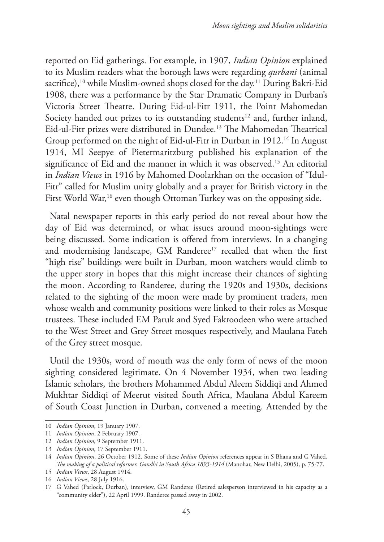reported on Eid gatherings. For example, in 1907, *Indian Opinion* explained to its Muslim readers what the borough laws were regarding *qurbani* (animal sacrifice),<sup>10</sup> while Muslim-owned shops closed for the day.<sup>11</sup> During Bakri-Eid 1908, there was a performance by the Star Dramatic Company in Durban's Victoria Street Theatre. During Eid-ul-Fitr 1911, the Point Mahomedan Society handed out prizes to its outstanding students<sup>12</sup> and, further inland, Eid-ul-Fitr prizes were distributed in Dundee.13 The Mahomedan Theatrical Group performed on the night of Eid-ul-Fitr in Durban in 1912.14 In August 1914, MI Seepye of Pietermaritzburg published his explanation of the significance of Eid and the manner in which it was observed.<sup>15</sup> An editorial in *Indian Views* in 1916 by Mahomed Doolarkhan on the occasion of "Idul-Fitr" called for Muslim unity globally and a prayer for British victory in the First World War,<sup>16</sup> even though Ottoman Turkey was on the opposing side.

Natal newspaper reports in this early period do not reveal about how the day of Eid was determined, or what issues around moon-sightings were being discussed. Some indication is offered from interviews. In a changing and modernising landscape, GM Randeree<sup>17</sup> recalled that when the first "high rise" buildings were built in Durban, moon watchers would climb to the upper story in hopes that this might increase their chances of sighting the moon. According to Randeree, during the 1920s and 1930s, decisions related to the sighting of the moon were made by prominent traders, men whose wealth and community positions were linked to their roles as Mosque trustees. These included EM Paruk and Syed Fakroodeen who were attached to the West Street and Grey Street mosques respectively, and Maulana Fateh of the Grey street mosque.

Until the 1930s, word of mouth was the only form of news of the moon sighting considered legitimate. On 4 November 1934, when two leading Islamic scholars, the brothers Mohammed Abdul Aleem Siddiqi and Ahmed Mukhtar Siddiqi of Meerut visited South Africa, Maulana Abdul Kareem of South Coast Junction in Durban, convened a meeting. Attended by the

<sup>10</sup> *Indian Opinion*, 19 January 1907.

<sup>11</sup> *Indian Opinion*, 2 February 1907.

<sup>12</sup> *Indian Opinion*, 9 September 1911.

<sup>13</sup> *Indian Opinion*, 17 September 1911.

<sup>14</sup> *Indian Opinion*, 26 October 1912. Some of these *Indian Opinion* references appear in S Bhana and G Vahed, *The making of a political reformer. Gandhi in South Africa 1893-1914* (Manohar, New Delhi, 2005), p. 75-77.

<sup>15</sup> *Indian Views*, 28 August 1914.

<sup>16</sup> *Indian Views*, 28 July 1916.

<sup>17</sup> G Vahed (Parlock, Durban), interview, GM Randeree (Retired salesperson interviewed in his capacity as a "community elder"), 22 April 1999. Randeree passed away in 2002.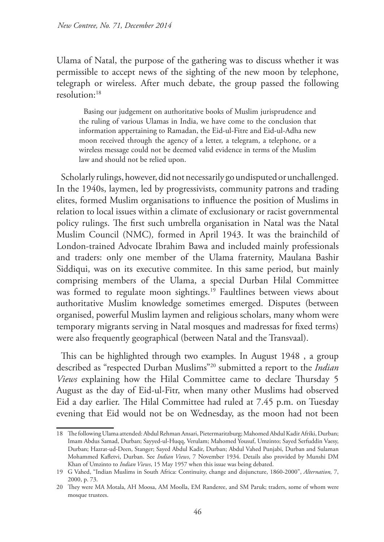Ulama of Natal, the purpose of the gathering was to discuss whether it was permissible to accept news of the sighting of the new moon by telephone, telegraph or wireless. After much debate, the group passed the following resolution:18

Basing our judgement on authoritative books of Muslim jurisprudence and the ruling of various Ulamas in India, we have come to the conclusion that information appertaining to Ramadan, the Eid-ul-Fitre and Eid-ul-Adha new moon received through the agency of a letter, a telegram, a telephone, or a wireless message could not be deemed valid evidence in terms of the Muslim law and should not be relied upon.

Scholarly rulings, however, did not necessarily go undisputed or unchallenged. In the 1940s, laymen, led by progressivists, community patrons and trading elites, formed Muslim organisations to influence the position of Muslims in relation to local issues within a climate of exclusionary or racist governmental policy rulings. The first such umbrella organisation in Natal was the Natal Muslim Council (NMC)*,* formed in April 1943. It was the brainchild of London-trained Advocate Ibrahim Bawa and included mainly professionals and traders: only one member of the Ulama fraternity, Maulana Bashir Siddiqui, was on its executive commitee. In this same period, but mainly comprising members of the Ulama, a special Durban Hilal Committee was formed to regulate moon sightings.<sup>19</sup> Faultlines between views about authoritative Muslim knowledge sometimes emerged. Disputes (between organised, powerful Muslim laymen and religious scholars, many whom were temporary migrants serving in Natal mosques and madressas for fixed terms) were also frequently geographical (between Natal and the Transvaal).

This can be highlighted through two examples. In August 1948 , a group described as "respected Durban Muslims"20 submitted a report to the *Indian Views* explaining how the Hilal Committee came to declare Thursday 5 August as the day of Eid-ul-Fitr, when many other Muslims had observed Eid a day earlier. The Hilal Committee had ruled at 7.45 p.m. on Tuesday evening that Eid would not be on Wednesday, as the moon had not been

<sup>18</sup> The following Ulama attended: Abdul Rehman Ansari, Pietermaritzburg; Mahomed Abdul Kadir Afriki, Durban; Imam Abdus Samad, Durban; Sayyed-ul-Huqq, Verulam; Mahomed Yousuf, Umzinto; Sayed Serfuddin Vaesy, Durban; Hazrat-ud-Deen, Stanger; Sayed Abdul Kadir, Durban; Abdul Vahed Punjabi, Durban and Sulaman Mohammed Kafletvi, Durban. See *Indian Views*, 7 November 1934. Details also provided by Munshi DM Khan of Umzinto to *Indian Views*, 15 May 1957 when this issue was being debated.

<sup>19</sup> G Vahed, "Indian Muslims in South Africa: Continuity, change and disjuncture, 1860-2000", *Alternation,* 7, 2000, p. 73.

<sup>20</sup> They were MA Motala, AH Moosa, AM Moolla, EM Randeree, and SM Paruk; traders, some of whom were mosque trustees.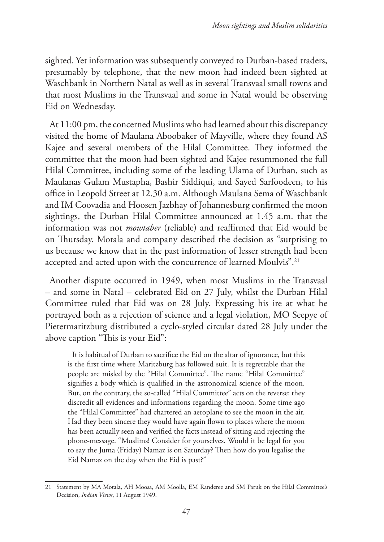sighted. Yet information was subsequently conveyed to Durban-based traders, presumably by telephone, that the new moon had indeed been sighted at Waschbank in Northern Natal as well as in several Transvaal small towns and that most Muslims in the Transvaal and some in Natal would be observing Eid on Wednesday.

At 11:00 pm, the concerned Muslims who had learned about this discrepancy visited the home of Maulana Aboobaker of Mayville, where they found AS Kajee and several members of the Hilal Committee. They informed the committee that the moon had been sighted and Kajee resummoned the full Hilal Committee, including some of the leading Ulama of Durban, such as Maulanas Gulam Mustapha, Bashir Siddiqui, and Sayed Sarfoodeen, to his office in Leopold Street at 12.30 a.m. Although Maulana Sema of Waschbank and IM Coovadia and Hoosen Jazbhay of Johannesburg confirmed the moon sightings, the Durban Hilal Committee announced at 1.45 a.m. that the information was not *mowtaber* (reliable) and reaffirmed that Eid would be on Thursday. Motala and company described the decision as "surprising to us because we know that in the past information of lesser strength had been accepted and acted upon with the concurrence of learned Moulvis".<sup>21</sup>

Another dispute occurred in 1949, when most Muslims in the Transvaal – and some in Natal – celebrated Eid on 27 July, whilst the Durban Hilal Committee ruled that Eid was on 28 July. Expressing his ire at what he portrayed both as a rejection of science and a legal violation, MO Seepye of Pietermaritzburg distributed a cyclo-styled circular dated 28 July under the above caption "This is your Eid":

It is habitual of Durban to sacrifice the Eid on the altar of ignorance, but this is the first time where Maritzburg has followed suit. It is regrettable that the people are misled by the "Hilal Committee". The name "Hilal Committee" signifies a body which is qualified in the astronomical science of the moon. But, on the contrary, the so-called "Hilal Committee" acts on the reverse: they discredit all evidences and informations regarding the moon. Some time ago the "Hilal Committee" had chartered an aeroplane to see the moon in the air. Had they been sincere they would have again flown to places where the moon has been actually seen and verified the facts instead of sitting and rejecting the phone-message. "Muslims! Consider for yourselves. Would it be legal for you to say the Juma (Friday) Namaz is on Saturday? Then how do you legalise the Eid Namaz on the day when the Eid is past?"

<sup>21</sup> Statement by MA Motala, AH Moosa, AM Moolla, EM Randeree and SM Paruk on the Hilal Committee's Decision, *Indian Views*, 11 August 1949.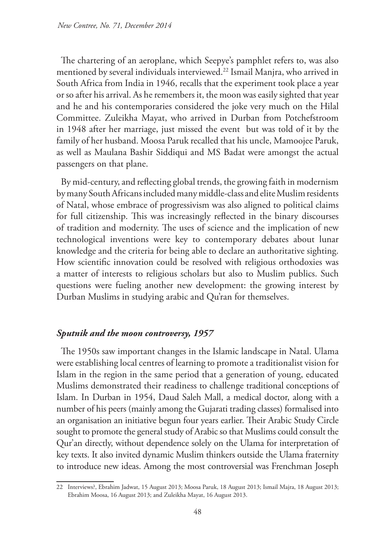The chartering of an aeroplane, which Seepye's pamphlet refers to, was also mentioned by several individuals interviewed.22 Ismail Manjra, who arrived in South Africa from India in 1946, recalls that the experiment took place a year or so after his arrival. As he remembers it, the moon was easily sighted that year and he and his contemporaries considered the joke very much on the Hilal Committee. Zuleikha Mayat, who arrived in Durban from Potchefstroom in 1948 after her marriage, just missed the event but was told of it by the family of her husband. Moosa Paruk recalled that his uncle, Mamoojee Paruk, as well as Maulana Bashir Siddiqui and MS Badat were amongst the actual passengers on that plane.

By mid-century, and reflecting global trends, the growing faith in modernism by many South Africans included many middle-class and elite Muslim residents of Natal, whose embrace of progressivism was also aligned to political claims for full citizenship. This was increasingly reflected in the binary discourses of tradition and modernity. The uses of science and the implication of new technological inventions were key to contemporary debates about lunar knowledge and the criteria for being able to declare an authoritative sighting. How scientific innovation could be resolved with religious orthodoxies was a matter of interests to religious scholars but also to Muslim publics. Such questions were fueling another new development: the growing interest by Durban Muslims in studying arabic and Qu'ran for themselves.

### *Sputnik and the moon controversy, 1957*

The 1950s saw important changes in the Islamic landscape in Natal. Ulama were establishing local centres of learning to promote a traditionalist vision for Islam in the region in the same period that a generation of young, educated Muslims demonstrated their readiness to challenge traditional conceptions of Islam. In Durban in 1954, Daud Saleh Mall, a medical doctor, along with a number of his peers (mainly among the Gujarati trading classes) formalised into an organisation an initiative begun four years earlier. Their Arabic Study Circle sought to promote the general study of Arabic so that Muslims could consult the Qur'an directly, without dependence solely on the Ulama for interpretation of key texts. It also invited dynamic Muslim thinkers outside the Ulama fraternity to introduce new ideas. Among the most controversial was Frenchman Joseph

<sup>22</sup> Interviews?, Ebrahim Jadwat, 15 August 2013; Moosa Paruk, 18 August 2013; Ismail Majra, 18 August 2013; Ebrahim Moosa, 16 August 2013; and Zuleikha Mayat, 16 August 2013.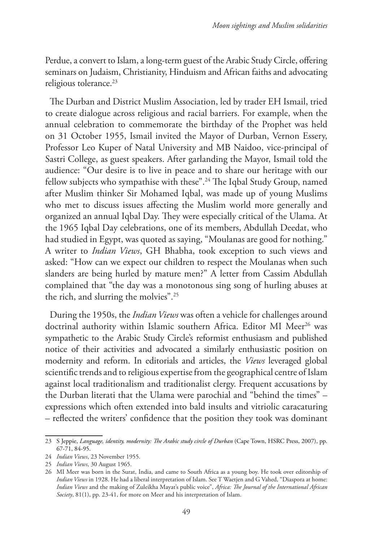Perdue, a convert to Islam, a long-term guest of the Arabic Study Circle, offering seminars on Judaism, Christianity, Hinduism and African faiths and advocating religious tolerance.<sup>23</sup>

The Durban and District Muslim Association, led by trader EH Ismail, tried to create dialogue across religious and racial barriers. For example, when the annual celebration to commemorate the birthday of the Prophet was held on 31 October 1955, Ismail invited the Mayor of Durban, Vernon Essery, Professor Leo Kuper of Natal University and MB Naidoo, vice-principal of Sastri College, as guest speakers. After garlanding the Mayor, Ismail told the audience: "Our desire is to live in peace and to share our heritage with our fellow subjects who sympathise with these".<sup>24</sup> The Iqbal Study Group, named after Muslim thinker Sir Mohamed Iqbal, was made up of young Muslims who met to discuss issues affecting the Muslim world more generally and organized an annual Iqbal Day. They were especially critical of the Ulama. At the 1965 Iqbal Day celebrations, one of its members, Abdullah Deedat, who had studied in Egypt, was quoted as saying, "Moulanas are good for nothing." A writer to *Indian Views*, GH Bhabha, took exception to such views and asked: "How can we expect our children to respect the Moulanas when such slanders are being hurled by mature men?" A letter from Cassim Abdullah complained that "the day was a monotonous sing song of hurling abuses at the rich, and slurring the molvies".25

During the 1950s, the *Indian Views* was often a vehicle for challenges around doctrinal authority within Islamic southern Africa. Editor MI Meer<sup>26</sup> was sympathetic to the Arabic Study Circle's reformist enthusiasm and published notice of their activities and advocated a similarly enthusiastic position on modernity and reform. In editorials and articles, the *Views* leveraged global scientific trends and to religious expertise from the geographical centre of Islam against local traditionalism and traditionalist clergy. Frequent accusations by the Durban literati that the Ulama were parochial and "behind the times" – expressions which often extended into bald insults and vitriolic caracaturing – reflected the writers' confidence that the position they took was dominant

<sup>23</sup> S Jeppie, *Language, identity, modernity: The Arabic study circle of Durban* (Cape Town, HSRC Press, 2007), pp. 67-71, 84-95.

<sup>24</sup> *Indian Views*, 23 November 1955.

<sup>25</sup> *Indian Views*, 30 August 1965.

<sup>26</sup> MI Meer was born in the Surat, India, and came to South Africa as a young boy. He took over editorship of *Indian Views* in 1928. He had a liberal interpretation of Islam. See T Waetjen and G Vahed, "Diaspora at home: *Indian Views* and the making of Zuleikha Mayat's public voice", *Africa: The Journal of the International African Society*, 81(1), pp. 23-41, for more on Meer and his interpretation of Islam.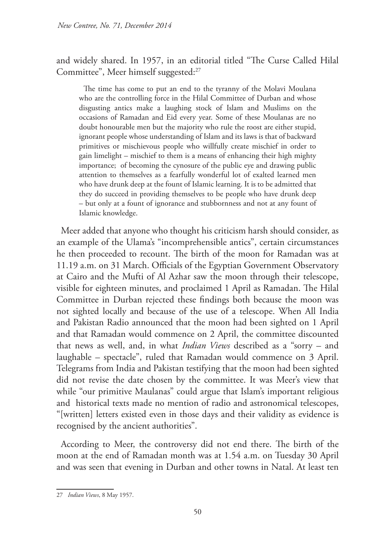and widely shared. In 1957, in an editorial titled "The Curse Called Hilal Committee", Meer himself suggested:<sup>27</sup>

The time has come to put an end to the tyranny of the Molavi Moulana who are the controlling force in the Hilal Committee of Durban and whose disgusting antics make a laughing stock of Islam and Muslims on the occasions of Ramadan and Eid every year. Some of these Moulanas are no doubt honourable men but the majority who rule the roost are either stupid, ignorant people whose understanding of Islam and its laws is that of backward primitives or mischievous people who willfully create mischief in order to gain limelight – mischief to them is a means of enhancing their high mighty importance; of becoming the cynosure of the public eye and drawing public attention to themselves as a fearfully wonderful lot of exalted learned men who have drunk deep at the fount of Islamic learning. It is to be admitted that they do succeed in providing themselves to be people who have drunk deep – but only at a fount of ignorance and stubbornness and not at any fount of Islamic knowledge.

Meer added that anyone who thought his criticism harsh should consider, as an example of the Ulama's "incomprehensible antics", certain circumstances he then proceeded to recount. The birth of the moon for Ramadan was at 11.19 a.m. on 31 March. Officials of the Egyptian Government Observatory at Cairo and the Mufti of Al Azhar saw the moon through their telescope, visible for eighteen minutes, and proclaimed 1 April as Ramadan. The Hilal Committee in Durban rejected these findings both because the moon was not sighted locally and because of the use of a telescope. When All India and Pakistan Radio announced that the moon had been sighted on 1 April and that Ramadan would commence on 2 April, the committee discounted that news as well, and, in what *Indian Views* described as a "sorry – and laughable – spectacle", ruled that Ramadan would commence on 3 April. Telegrams from India and Pakistan testifying that the moon had been sighted did not revise the date chosen by the committee. It was Meer's view that while "our primitive Maulanas" could argue that Islam's important religious and historical texts made no mention of radio and astronomical telescopes, "[written] letters existed even in those days and their validity as evidence is recognised by the ancient authorities".

According to Meer, the controversy did not end there. The birth of the moon at the end of Ramadan month was at 1.54 a.m. on Tuesday 30 April and was seen that evening in Durban and other towns in Natal. At least ten

<sup>27</sup> *Indian Views*, 8 May 1957.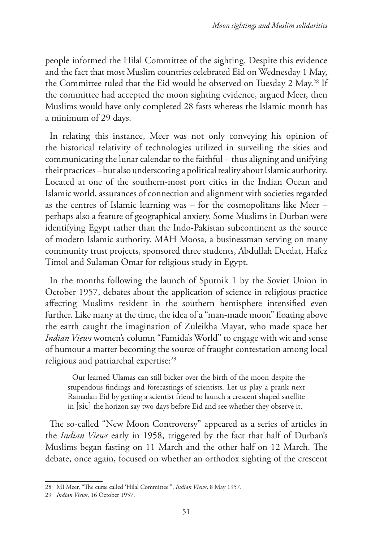people informed the Hilal Committee of the sighting. Despite this evidence and the fact that most Muslim countries celebrated Eid on Wednesday 1 May, the Committee ruled that the Eid would be observed on Tuesday 2 May.<sup>28</sup> If the committee had accepted the moon sighting evidence, argued Meer, then Muslims would have only completed 28 fasts whereas the Islamic month has a minimum of 29 days.

In relating this instance, Meer was not only conveying his opinion of the historical relativity of technologies utilized in surveiling the skies and communicating the lunar calendar to the faithful – thus aligning and unifying their practices – but also underscoring a political reality about Islamic authority. Located at one of the southern-most port cities in the Indian Ocean and Islamic world, assurances of connection and alignment with societies regarded as the centres of Islamic learning was – for the cosmopolitans like Meer – perhaps also a feature of geographical anxiety. Some Muslims in Durban were identifying Egypt rather than the Indo-Pakistan subcontinent as the source of modern Islamic authority. MAH Moosa, a businessman serving on many community trust projects, sponsored three students, Abdullah Deedat, Hafez Timol and Sulaman Omar for religious study in Egypt.

In the months following the launch of Sputnik 1 by the Soviet Union in October 1957, debates about the application of science in religious practice affecting Muslims resident in the southern hemisphere intensified even further. Like many at the time, the idea of a "man-made moon" floating above the earth caught the imagination of Zuleikha Mayat, who made space her *Indian Views* women's column "Famida's World" to engage with wit and sense of humour a matter becoming the source of fraught contestation among local religious and patriarchal expertise:<sup>29</sup>

Our learned Ulamas can still bicker over the birth of the moon despite the stupendous findings and forecastings of scientists. Let us play a prank next Ramadan Eid by getting a scientist friend to launch a crescent shaped satellite in [sic] the horizon say two days before Eid and see whether they observe it.

The so-called "New Moon Controversy" appeared as a series of articles in the *Indian Views* early in 1958, triggered by the fact that half of Durban's Muslims began fasting on 11 March and the other half on 12 March. The debate, once again, focused on whether an orthodox sighting of the crescent

<sup>28</sup> MI Meer, "The curse called 'Hilal Committee'", *Indian Views*, 8 May 1957.

<sup>29</sup> *Indian Views*, 16 October 1957.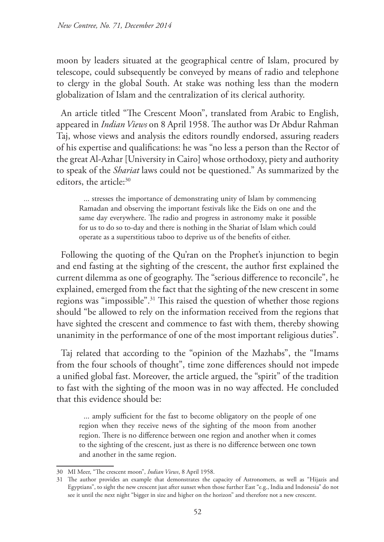moon by leaders situated at the geographical centre of Islam, procured by telescope, could subsequently be conveyed by means of radio and telephone to clergy in the global South. At stake was nothing less than the modern globalization of Islam and the centralization of its clerical authority.

An article titled "The Crescent Moon", translated from Arabic to English, appeared in *Indian Views* on 8 April 1958. The author was Dr Abdur Rahman Taj, whose views and analysis the editors roundly endorsed, assuring readers of his expertise and qualifications: he was "no less a person than the Rector of the great Al-Azhar [University in Cairo] whose orthodoxy, piety and authority to speak of the *Shariat* laws could not be questioned." As summarized by the editors, the article:<sup>30</sup>

... stresses the importance of demonstrating unity of Islam by commencing Ramadan and observing the important festivals like the Eids on one and the same day everywhere. The radio and progress in astronomy make it possible for us to do so to-day and there is nothing in the Shariat of Islam which could operate as a superstitious taboo to deprive us of the benefits of either.

Following the quoting of the Qu'ran on the Prophet's injunction to begin and end fasting at the sighting of the crescent, the author first explained the current dilemma as one of geography. The "serious difference to reconcile", he explained, emerged from the fact that the sighting of the new crescent in some regions was "impossible".31 This raised the question of whether those regions should "be allowed to rely on the information received from the regions that have sighted the crescent and commence to fast with them, thereby showing unanimity in the performance of one of the most important religious duties".

Taj related that according to the "opinion of the Mazhabs", the "Imams from the four schools of thought", time zone differences should not impede a unified global fast. Moreover, the article argued, the "spirit" of the tradition to fast with the sighting of the moon was in no way affected. He concluded that this evidence should be:

... amply sufficient for the fast to become obligatory on the people of one region when they receive news of the sighting of the moon from another region. There is no difference between one region and another when it comes to the sighting of the crescent, just as there is no difference between one town and another in the same region.

<sup>30</sup> MI Meer, "The crescent moon", *Indian Views*, 8 April 1958.

<sup>31</sup> The author provides an example that demonstrates the capacity of Astronomers, as well as "Hijazis and Egyptians", to sight the new crescent just after sunset when those further East "e.g., India and Indonesia" do not see it until the next night "bigger in size and higher on the horizon" and therefore not a new crescent.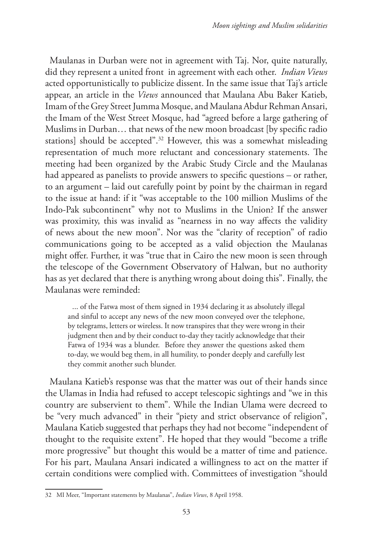Maulanas in Durban were not in agreement with Taj. Nor, quite naturally, did they represent a united front in agreement with each other. *Indian Views* acted opportunistically to publicize dissent. In the same issue that Taj's article appear, an article in the *Views* announced that Maulana Abu Baker Katieb, Imam of the Grey Street Jumma Mosque, and Maulana Abdur Rehman Ansari, the Imam of the West Street Mosque, had "agreed before a large gathering of Muslims in Durban… that news of the new moon broadcast [by specific radio stations] should be accepted".32 However, this was a somewhat misleading representation of much more reluctant and concessionary statements. The meeting had been organized by the Arabic Study Circle and the Maulanas had appeared as panelists to provide answers to specific questions – or rather, to an argument – laid out carefully point by point by the chairman in regard to the issue at hand: if it "was acceptable to the 100 million Muslims of the Indo-Pak subcontinent" why not to Muslims in the Union? If the answer was proximity, this was invalid as "nearness in no way affects the validity of news about the new moon". Nor was the "clarity of reception" of radio communications going to be accepted as a valid objection the Maulanas might offer. Further, it was "true that in Cairo the new moon is seen through the telescope of the Government Observatory of Halwan, but no authority has as yet declared that there is anything wrong about doing this". Finally, the Maulanas were reminded:

... of the Fatwa most of them signed in 1934 declaring it as absolutely illegal and sinful to accept any news of the new moon conveyed over the telephone, by telegrams, letters or wireless. It now transpires that they were wrong in their judgment then and by their conduct to-day they tacitly acknowledge that their Fatwa of 1934 was a blunder. Before they answer the questions asked them to-day, we would beg them, in all humility, to ponder deeply and carefully lest they commit another such blunder.

Maulana Katieb's response was that the matter was out of their hands since the Ulamas in India had refused to accept telescopic sightings and "we in this country are subservient to them". While the Indian Ulama were decreed to be "very much advanced" in their "piety and strict observance of religion", Maulana Katieb suggested that perhaps they had not become "independent of thought to the requisite extent". He hoped that they would "become a trifle more progressive" but thought this would be a matter of time and patience. For his part, Maulana Ansari indicated a willingness to act on the matter if certain conditions were complied with. Committees of investigation "should

<sup>32</sup> MI Meer, "Important statements by Maulanas", *Indian Views*, 8 April 1958.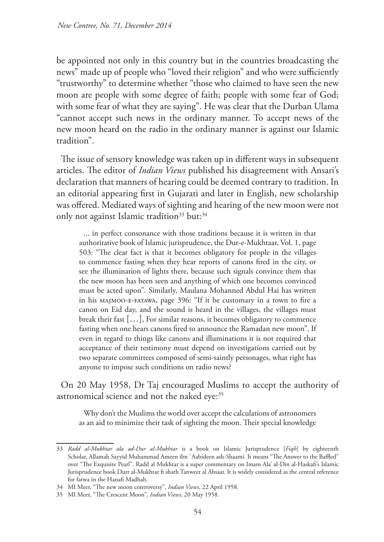be appointed not only in this country but in the countries broadcasting the news" made up of people who "loved their religion" and who were sufficiently "trustworthy" to determine whether "those who claimed to have seen the new moon are people with some degree of faith; people with some fear of God; with some fear of what they are saying". He was clear that the Durban Ulama "cannot accept such news in the ordinary manner. To accept news of the new moon heard on the radio in the ordinary manner is against our Islamic tradition".

The issue of sensory knowledge was taken up in different ways in subsequent articles. The editor of *Indian Views* published his disagreement with Ansari's declaration that manners of hearing could be deemed contrary to tradition. In an editorial appearing first in Gujarati and later in English, new scholarship was offered. Mediated ways of sighting and hearing of the new moon were not only not against Islamic tradition<sup>33</sup> but:<sup>34</sup>

... in perfect consonance with those traditions because it is written in that authoritative book of Islamic jurisprudence, the Dur-e-Mukhtaar, Vol. 1, page 503: "The clear fact is that it becomes obligatory for people in the villages to commence fasting when they hear reports of canons fired in the city, or see the illumination of lights there, because such signals convince them that the new moon has been seen and anything of which one becomes convinced must be acted upon". Similarly, Maulana Mohanned Abdul Hai has written in his majmoo-e-fatawa, page 396: "If it be customary in a town to fire a canon on Eid day, and the sound is heard in the villages, the villages must break their fast […], For similar reasons, it becomes obligatory to commence fasting when one hears canons fired to announce the Ramadan new moon". If even in regard to things like canons and illuminations it is not required that acceptance of their testimony must depend on investigations carried out by two separate committees composed of semi-saintly personages, what right has anyone to impose such conditions on radio news?

On 20 May 1958, Dr Taj encouraged Muslims to accept the authority of astronomical science and not the naked eye:<sup>35</sup>

Why don't the Muslims the world over accept the calculations of astronomers as an aid to minimize their task of sighting the moon. Their special knowledge

<sup>33</sup> *Radd al-Mukhtar ala ad-Dur al-Mukhtar* is a book on Islamic Jurisprudence [*Fiqh*] by eighteenth Scholar, Allamah Sayyid Muhammad Ameen ibn `Aabideen ash-Shaami. It means "The Answer to the Baffled" over "The Exquisite Pearl". Radd al Mukhtar is a super commentary on Imam Ala' al-Din al-Haskafi's Islamic Jurisprudence book Durr al-Mukhtar fi sharh Tanweer al Absaar. It is widely considered as the central reference for fatwa in the Hanafi Madhab.

<sup>34</sup> MI Meer, "The new moon controversy", *Indian Views*, 22 April 1958.

<sup>35</sup> MI Meer, "The Crescent Moon", *Indian Views*, 20 May 1958.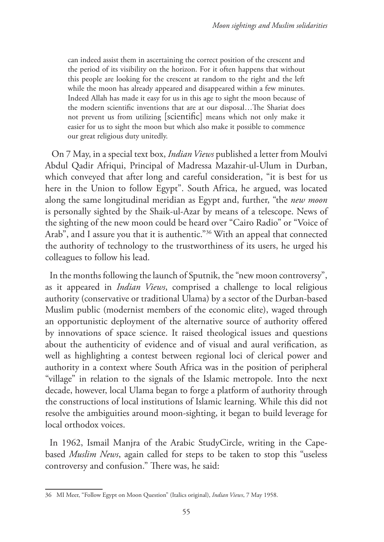can indeed assist them in ascertaining the correct position of the crescent and the period of its visibility on the horizon. For it often happens that without this people are looking for the crescent at random to the right and the left while the moon has already appeared and disappeared within a few minutes. Indeed Allah has made it easy for us in this age to sight the moon because of the modern scientific inventions that are at our disposal…The Shariat does not prevent us from utilizing [scientific] means which not only make it easier for us to sight the moon but which also make it possible to commence our great religious duty unitedly.

 On 7 May, in a special text box, *Indian Views* published a letter from Moulvi Abdul Qadir Afriqui, Principal of Madressa Mazahir-ul-Ulum in Durban, which conveyed that after long and careful consideration, "it is best for us here in the Union to follow Egypt". South Africa, he argued, was located along the same longitudinal meridian as Egypt and, further, "the *new moon* is personally sighted by the Shaik-ul-Azar by means of a telescope. News of the sighting of the new moon could be heard over "Cairo Radio" or "Voice of Arab", and I assure you that it is authentic."36 With an appeal that connected the authority of technology to the trustworthiness of its users, he urged his colleagues to follow his lead.

In the months following the launch of Sputnik, the "new moon controversy", as it appeared in *Indian Views*, comprised a challenge to local religious authority (conservative or traditional Ulama) by a sector of the Durban-based Muslim public (modernist members of the economic elite), waged through an opportunistic deployment of the alternative source of authority offered by innovations of space science. It raised theological issues and questions about the authenticity of evidence and of visual and aural verification, as well as highlighting a contest between regional loci of clerical power and authority in a context where South Africa was in the position of peripheral "village" in relation to the signals of the Islamic metropole. Into the next decade, however, local Ulama began to forge a platform of authority through the constructions of local institutions of Islamic learning. While this did not resolve the ambiguities around moon-sighting, it began to build leverage for local orthodox voices.

In 1962, Ismail Manjra of the Arabic StudyCircle, writing in the Capebased *Muslim News*, again called for steps to be taken to stop this "useless controversy and confusion." There was, he said:

<sup>36</sup> MI Meer, "Follow Egypt on Moon Question" (Italics original), *Indian Views*, 7 May 1958.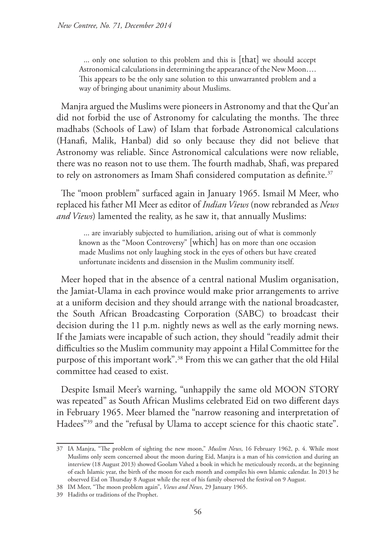... only one solution to this problem and this is [that] we should accept Astronomical calculations in determining the appearance of the New Moon…. This appears to be the only sane solution to this unwarranted problem and a way of bringing about unanimity about Muslims.

Manjra argued the Muslims were pioneers in Astronomy and that the Qur'an did not forbid the use of Astronomy for calculating the months. The three madhabs (Schools of Law) of Islam that forbade Astronomical calculations (Hanafi, Malik, Hanbal) did so only because they did not believe that Astronomy was reliable. Since Astronomical calculations were now reliable, there was no reason not to use them. The fourth madhab, Shafi, was prepared to rely on astronomers as Imam Shafi considered computation as definite.<sup>37</sup>

The "moon problem" surfaced again in January 1965. Ismail M Meer, who replaced his father MI Meer as editor of *Indian Views* (now rebranded as *News and Views*) lamented the reality, as he saw it, that annually Muslims:

... are invariably subjected to humiliation, arising out of what is commonly known as the "Moon Controversy" [which] has on more than one occasion made Muslims not only laughing stock in the eyes of others but have created unfortunate incidents and dissension in the Muslim community itself.

Meer hoped that in the absence of a central national Muslim organisation, the Jamiat-Ulama in each province would make prior arrangements to arrive at a uniform decision and they should arrange with the national broadcaster, the South African Broadcasting Corporation (SABC) to broadcast their decision during the 11 p.m. nightly news as well as the early morning news. If the Jamiats were incapable of such action, they should "readily admit their difficulties so the Muslim community may appoint a Hilal Committee for the purpose of this important work".<sup>38</sup> From this we can gather that the old Hilal committee had ceased to exist.

Despite Ismail Meer's warning, "unhappily the same old MOON STORY was repeated" as South African Muslims celebrated Eid on two different days in February 1965. Meer blamed the "narrow reasoning and interpretation of Hadees"<sup>39</sup> and the "refusal by Ulama to accept science for this chaotic state".

<sup>37</sup> IA Manjra, "The problem of sighting the new moon," *Muslim News*, 16 February 1962, p. 4. While most Muslims only seem concerned about the moon during Eid, Manjra is a man of his conviction and during an interview (18 August 2013) showed Goolam Vahed a book in which he meticulously records, at the beginning of each Islamic year, the birth of the moon for each month and compiles his own Islamic calendar. In 2013 he observed Eid on Thursday 8 August while the rest of his family observed the festival on 9 August.

<sup>38</sup> IM Meer, "The moon problem again", *Views and News*, 29 January 1965.

<sup>39</sup> Hadiths or traditions of the Prophet.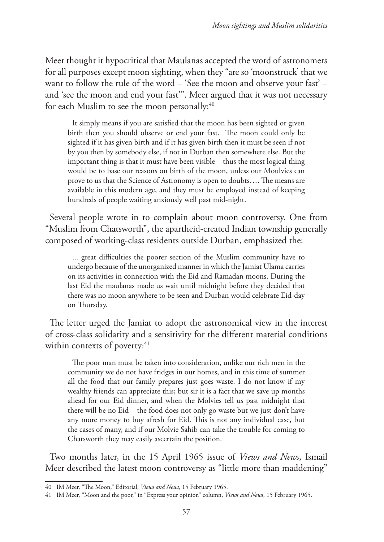Meer thought it hypocritical that Maulanas accepted the word of astronomers for all purposes except moon sighting, when they "are so 'moonstruck' that we want to follow the rule of the word – 'See the moon and observe your fast' – and 'see the moon and end your fast'". Meer argued that it was not necessary for each Muslim to see the moon personally:<sup>40</sup>

It simply means if you are satisfied that the moon has been sighted or given birth then you should observe or end your fast. The moon could only be sighted if it has given birth and if it has given birth then it must be seen if not by you then by somebody else, if not in Durban then somewhere else. But the important thing is that it must have been visible – thus the most logical thing would be to base our reasons on birth of the moon, unless our Moulvies can prove to us that the Science of Astronomy is open to doubts…. The means are available in this modern age, and they must be employed instead of keeping hundreds of people waiting anxiously well past mid-night.

Several people wrote in to complain about moon controversy. One from "Muslim from Chatsworth", the apartheid-created Indian township generally composed of working-class residents outside Durban, emphasized the:

... great difficulties the poorer section of the Muslim community have to undergo because of the unorganized manner in which the Jamiat Ulama carries on its activities in connection with the Eid and Ramadan moons. During the last Eid the maulanas made us wait until midnight before they decided that there was no moon anywhere to be seen and Durban would celebrate Eid-day on Thursday.

The letter urged the Jamiat to adopt the astronomical view in the interest of cross-class solidarity and a sensitivity for the different material conditions within contexts of poverty:<sup>41</sup>

The poor man must be taken into consideration, unlike our rich men in the community we do not have fridges in our homes, and in this time of summer all the food that our family prepares just goes waste. I do not know if my wealthy friends can appreciate this; but sir it is a fact that we save up months ahead for our Eid dinner, and when the Molvies tell us past midnight that there will be no Eid – the food does not only go waste but we just don't have any more money to buy afresh for Eid. This is not any individual case, but the cases of many, and if our Molvie Sahib can take the trouble for coming to Chatsworth they may easily ascertain the position.

Two months later, in the 15 April 1965 issue of *Views and News*, Ismail Meer described the latest moon controversy as "little more than maddening"

<sup>40</sup> IM Meer, "The Moon," Editorial, *Views and News*, 15 February 1965.

<sup>41</sup> IM Meer, "Moon and the poor," in "Express your opinion" column, *Views and News*, 15 February 1965.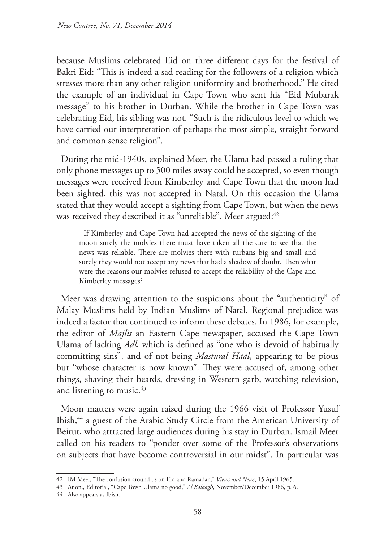because Muslims celebrated Eid on three different days for the festival of Bakri Eid: "This is indeed a sad reading for the followers of a religion which stresses more than any other religion uniformity and brotherhood." He cited the example of an individual in Cape Town who sent his "Eid Mubarak message" to his brother in Durban. While the brother in Cape Town was celebrating Eid, his sibling was not. "Such is the ridiculous level to which we have carried our interpretation of perhaps the most simple, straight forward and common sense religion".

During the mid-1940s, explained Meer, the Ulama had passed a ruling that only phone messages up to 500 miles away could be accepted, so even though messages were received from Kimberley and Cape Town that the moon had been sighted, this was not accepted in Natal. On this occasion the Ulama stated that they would accept a sighting from Cape Town, but when the news was received they described it as "unreliable". Meer argued: 42

If Kimberley and Cape Town had accepted the news of the sighting of the moon surely the molvies there must have taken all the care to see that the news was reliable. There are molvies there with turbans big and small and surely they would not accept any news that had a shadow of doubt. Then what were the reasons our molvies refused to accept the reliability of the Cape and Kimberley messages?

Meer was drawing attention to the suspicions about the "authenticity" of Malay Muslims held by Indian Muslims of Natal. Regional prejudice was indeed a factor that continued to inform these debates. In 1986, for example, the editor of *Majlis* an Eastern Cape newspaper, accused the Cape Town Ulama of lacking *Adl*, which is defined as "one who is devoid of habitually committing sins", and of not being *Mastural Haal*, appearing to be pious but "whose character is now known". They were accused of, among other things, shaving their beards, dressing in Western garb, watching television, and listening to music.<sup>43</sup>

Moon matters were again raised during the 1966 visit of Professor Yusuf Ibish,<sup>44</sup> a guest of the Arabic Study Circle from the American University of Beirut, who attracted large audiences during his stay in Durban. Ismail Meer called on his readers to "ponder over some of the Professor's observations on subjects that have become controversial in our midst". In particular was

<sup>42</sup> IM Meer, "The confusion around us on Eid and Ramadan," *Views and News*, 15 April 1965.

<sup>43</sup> Anon., Editorial, "Cape Town Ulama no good," *Al Balaagh*, November/December 1986, p. 6.

<sup>44</sup> Also appears as Ibish.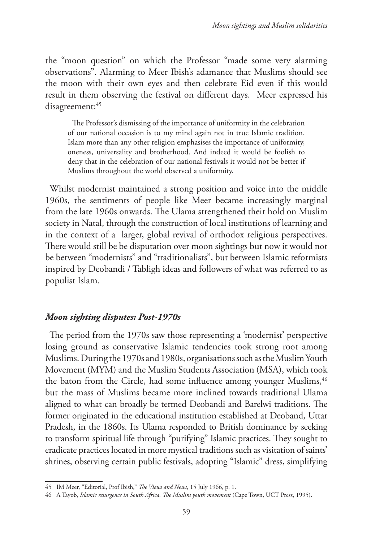the "moon question" on which the Professor "made some very alarming observations". Alarming to Meer Ibish's adamance that Muslims should see the moon with their own eyes and then celebrate Eid even if this would result in them observing the festival on different days. Meer expressed his disagreement:<sup>45</sup>

The Professor's dismissing of the importance of uniformity in the celebration of our national occasion is to my mind again not in true Islamic tradition. Islam more than any other religion emphasises the importance of uniformity, oneness, universality and brotherhood. And indeed it would be foolish to deny that in the celebration of our national festivals it would not be better if Muslims throughout the world observed a uniformity.

Whilst modernist maintained a strong position and voice into the middle 1960s, the sentiments of people like Meer became increasingly marginal from the late 1960s onwards. The Ulama strengthened their hold on Muslim society in Natal, through the construction of local institutions of learning and in the context of a larger, global revival of orthodox religious perspectives. There would still be be disputation over moon sightings but now it would not be between "modernists" and "traditionalists", but between Islamic reformists inspired by Deobandi / Tabligh ideas and followers of what was referred to as populist Islam.

## *Moon sighting disputes: Post-1970s*

The period from the 1970s saw those representing a 'modernist' perspective losing ground as conservative Islamic tendencies took strong root among Muslims. During the 1970s and 1980s, organisations such as the Muslim Youth Movement (MYM) and the Muslim Students Association (MSA), which took the baton from the Circle, had some influence among younger Muslims,<sup>46</sup> but the mass of Muslims became more inclined towards traditional Ulama aligned to what can broadly be termed Deobandi and Barelwi traditions. The former originated in the educational institution established at Deoband, Uttar Pradesh, in the 1860s. Its Ulama responded to British dominance by seeking to transform spiritual life through "purifying" Islamic practices. They sought to eradicate practices located in more mystical traditions such as visitation of saints' shrines, observing certain public festivals, adopting "Islamic" dress, simplifying

<sup>45</sup> IM Meer, "Editorial, Prof Ibish," *The Views and News*, 15 July 1966, p. 1.

<sup>46</sup> A Tayob, *Islamic resurgence in South Africa. The Muslim youth movement* (Cape Town, UCT Press, 1995).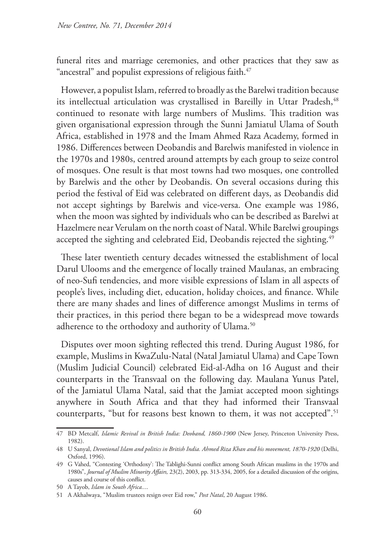funeral rites and marriage ceremonies, and other practices that they saw as "ancestral" and populist expressions of religious faith.<sup>47</sup>

However, a populist Islam, referred to broadly as the Barelwi tradition because its intellectual articulation was crystallised in Bareilly in Uttar Pradesh,<sup>48</sup> continued to resonate with large numbers of Muslims. This tradition was given organisational expression through the Sunni Jamiatul Ulama of South Africa, established in 1978 and the Imam Ahmed Raza Academy, formed in 1986. Differences between Deobandis and Barelwis manifested in violence in the 1970s and 1980s, centred around attempts by each group to seize control of mosques. One result is that most towns had two mosques, one controlled by Barelwis and the other by Deobandis. On several occasions during this period the festival of Eid was celebrated on different days, as Deobandis did not accept sightings by Barelwis and vice-versa. One example was 1986, when the moon was sighted by individuals who can be described as Barelwi at Hazelmere near Verulam on the north coast of Natal. While Barelwi groupings accepted the sighting and celebrated Eid, Deobandis rejected the sighting.<sup>49</sup>

These later twentieth century decades witnessed the establishment of local Darul Ulooms and the emergence of locally trained Maulanas, an embracing of neo-Sufi tendencies, and more visible expressions of Islam in all aspects of people's lives, including diet, education, holiday choices, and finance. While there are many shades and lines of difference amongst Muslims in terms of their practices, in this period there began to be a widespread move towards adherence to the orthodoxy and authority of Ulama.<sup>50</sup>

Disputes over moon sighting reflected this trend. During August 1986, for example, Muslims in KwaZulu-Natal (Natal Jamiatul Ulama) and Cape Town (Muslim Judicial Council) celebrated Eid-al-Adha on 16 August and their counterparts in the Transvaal on the following day. Maulana Yunus Patel, of the Jamiatul Ulama Natal, said that the Jamiat accepted moon sightings anywhere in South Africa and that they had informed their Transvaal counterparts, "but for reasons best known to them, it was not accepted".<sup>51</sup>

<sup>47</sup> BD Metcalf, *Islamic Revival in British India: Deoband, 1860-1900* (New Jersey, Princeton University Press, 1982).

<sup>48</sup> U Sanyal, *Devotional Islam and politics in British India. Ahmed Riza Khan and his movement, 1870-1920* (Delhi, Oxford, 1996).

<sup>49</sup> G Vahed, "Contesting 'Orthodoxy': The Tablighi-Sunni conflict among South African muslims in the 1970s and 1980s", *Journal of Muslim Minority Affairs,* 23(2), 2003, pp. 313-334, 2005, for a detailed discussion of the origins, causes and course of this conflict.

<sup>50</sup> A Tayob, *Islam in South Africa...*.

<sup>51</sup> A Akhalwaya, "Muslim trustees resign over Eid row," *Post Natal*, 20 August 1986.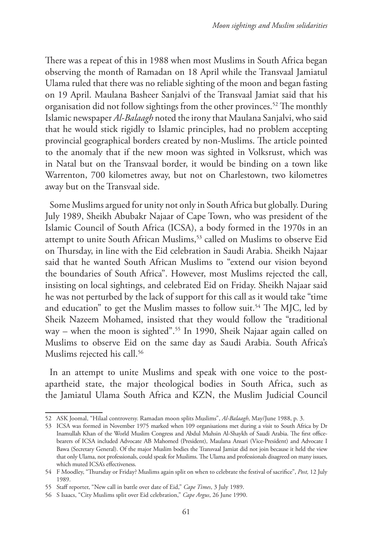There was a repeat of this in 1988 when most Muslims in South Africa began observing the month of Ramadan on 18 April while the Transvaal Jamiatul Ulama ruled that there was no reliable sighting of the moon and began fasting on 19 April. Maulana Basheer Sanjalvi of the Transvaal Jamiat said that his organisation did not follow sightings from the other provinces.<sup>52</sup> The monthly Islamic newspaper *Al-Balaagh* noted the irony that Maulana Sanjalvi, who said that he would stick rigidly to Islamic principles, had no problem accepting provincial geographical borders created by non-Muslims. The article pointed to the anomaly that if the new moon was sighted in Volksrust, which was in Natal but on the Transvaal border, it would be binding on a town like Warrenton, 700 kilometres away, but not on Charlestown, two kilometres away but on the Transvaal side.

Some Muslims argued for unity not only in South Africa but globally. During July 1989, Sheikh Abubakr Najaar of Cape Town, who was president of the Islamic Council of South Africa (ICSA), a body formed in the 1970s in an attempt to unite South African Muslims,<sup>53</sup> called on Muslims to observe Eid on Thursday, in line with the Eid celebration in Saudi Arabia. Sheikh Najaar said that he wanted South African Muslims to "extend our vision beyond the boundaries of South Africa". However, most Muslims rejected the call, insisting on local sightings, and celebrated Eid on Friday. Sheikh Najaar said he was not perturbed by the lack of support for this call as it would take "time and education" to get the Muslim masses to follow suit.<sup>54</sup> The MJC, led by Sheik Nazeem Mohamed, insisted that they would follow the "traditional way – when the moon is sighted".55 In 1990, Sheik Najaar again called on Muslims to observe Eid on the same day as Saudi Arabia. South Africa's Muslims rejected his call.<sup>56</sup>

In an attempt to unite Muslims and speak with one voice to the postapartheid state, the major theological bodies in South Africa, such as the Jamiatul Ulama South Africa and KZN, the Muslim Judicial Council

<sup>52</sup> ASK Joomal, "Hilaal controversy. Ramadan moon splits Muslims", *Al-Balaagh*, May/June 1988, p. 3.

<sup>53</sup> ICSA was formed in November 1975 marked when 109 organisations met during a visit to South Africa by Dr Inamullah Khan of the World Muslim Congress and Abdul Muhsin Al-Shaykh of Saudi Arabia. The first officebearers of ICSA included Advocate AB Mahomed (President), Maulana Ansari (Vice-President) and Advocate I Bawa (Secretary General). Of the major Muslim bodies the Transvaal Jamiat did not join because it held the view that only Ulama, not professionals, could speak for Muslims. The Ulama and professionals disagreed on many issues, which muted ICSA's effectiveness.

<sup>54</sup> F Moodley, "Thursday or Friday? Muslims again split on when to celebrate the festival of sacrifice", *Post,* 12 July 1989.

<sup>55</sup> Staff reporter, "New call in battle over date of Eid," *Cape Times*, 3 July 1989.

<sup>56</sup> S Isaacs, "City Muslims split over Eid celebration," *Cape Argus*, 26 June 1990.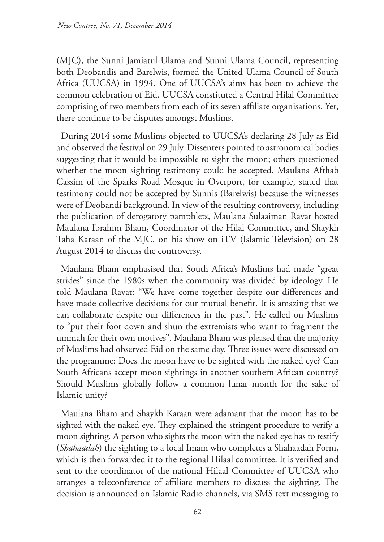(MJC), the Sunni Jamiatul Ulama and Sunni Ulama Council, representing both Deobandis and Barelwis, formed the United Ulama Council of South Africa (UUCSA) in 1994. One of UUCSA's aims has been to achieve the common celebration of Eid. UUCSA constituted a Central Hilal Committee comprising of two members from each of its seven affiliate organisations. Yet, there continue to be disputes amongst Muslims.

During 2014 some Muslims objected to UUCSA's declaring 28 July as Eid and observed the festival on 29 July. Dissenters pointed to astronomical bodies suggesting that it would be impossible to sight the moon; others questioned whether the moon sighting testimony could be accepted. Maulana Afthab Cassim of the Sparks Road Mosque in Overport, for example, stated that testimony could not be accepted by Sunnis (Barelwis) because the witnesses were of Deobandi background. In view of the resulting controversy, including the publication of derogatory pamphlets, Maulana Sulaaiman Ravat hosted Maulana Ibrahim Bham, Coordinator of the Hilal Committee, and Shaykh Taha Karaan of the MJC, on his show on iTV (Islamic Television) on 28 August 2014 to discuss the controversy.

Maulana Bham emphasised that South Africa's Muslims had made "great strides" since the 1980s when the community was divided by ideology. He told Maulana Ravat: "We have come together despite our differences and have made collective decisions for our mutual benefit. It is amazing that we can collaborate despite our differences in the past". He called on Muslims to "put their foot down and shun the extremists who want to fragment the ummah for their own motives". Maulana Bham was pleased that the majority of Muslims had observed Eid on the same day. Three issues were discussed on the programme: Does the moon have to be sighted with the naked eye? Can South Africans accept moon sightings in another southern African country? Should Muslims globally follow a common lunar month for the sake of Islamic unity?

Maulana Bham and Shaykh Karaan were adamant that the moon has to be sighted with the naked eye. They explained the stringent procedure to verify a moon sighting. A person who sights the moon with the naked eye has to testify (*Shahaadah*) the sighting to a local Imam who completes a Shahaadah Form, which is then forwarded it to the regional Hilaal committee. It is verified and sent to the coordinator of the national Hilaal Committee of UUCSA who arranges a teleconference of affiliate members to discuss the sighting. The decision is announced on Islamic Radio channels, via SMS text messaging to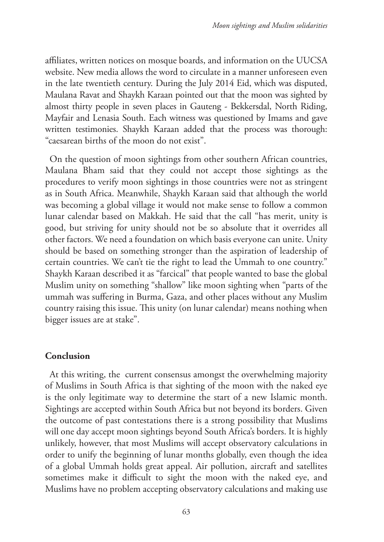affiliates, written notices on mosque boards, and information on the UUCSA website. New media allows the word to circulate in a manner unforeseen even in the late twentieth century. During the July 2014 Eid, which was disputed, Maulana Ravat and Shaykh Karaan pointed out that the moon was sighted by almost thirty people in seven places in Gauteng - Bekkersdal, North Riding, Mayfair and Lenasia South. Each witness was questioned by Imams and gave written testimonies. Shaykh Karaan added that the process was thorough: "caesarean births of the moon do not exist".

On the question of moon sightings from other southern African countries, Maulana Bham said that they could not accept those sightings as the procedures to verify moon sightings in those countries were not as stringent as in South Africa. Meanwhile, Shaykh Karaan said that although the world was becoming a global village it would not make sense to follow a common lunar calendar based on Makkah. He said that the call "has merit, unity is good, but striving for unity should not be so absolute that it overrides all other factors. We need a foundation on which basis everyone can unite. Unity should be based on something stronger than the aspiration of leadership of certain countries. We can't tie the right to lead the Ummah to one country." Shaykh Karaan described it as "farcical" that people wanted to base the global Muslim unity on something "shallow" like moon sighting when "parts of the ummah was suffering in Burma, Gaza, and other places without any Muslim country raising this issue. This unity (on lunar calendar) means nothing when bigger issues are at stake".

## **Conclusion**

At this writing, the current consensus amongst the overwhelming majority of Muslims in South Africa is that sighting of the moon with the naked eye is the only legitimate way to determine the start of a new Islamic month. Sightings are accepted within South Africa but not beyond its borders. Given the outcome of past contestations there is a strong possibility that Muslims will one day accept moon sightings beyond South Africa's borders. It is highly unlikely, however, that most Muslims will accept observatory calculations in order to unify the beginning of lunar months globally, even though the idea of a global Ummah holds great appeal. Air pollution, aircraft and satellites sometimes make it difficult to sight the moon with the naked eye, and Muslims have no problem accepting observatory calculations and making use